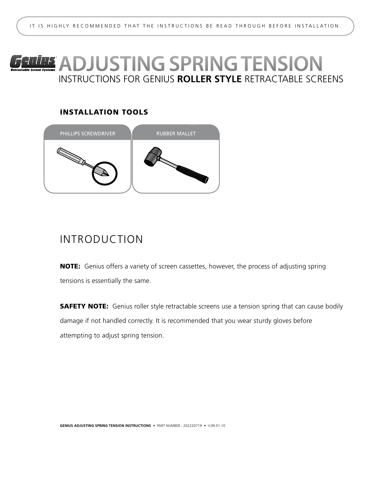# instructions for genius **roller style** RETRACTABLE SCREENs **Genius** ADJUSTING SPRING TENSION

### INSTALLATION TOOLS



## Introduction

NOTE: Genius offers a variety of screen cassettes, however, the process of adjusting spring tensions is essentially the same.

**SAFETY NOTE:** Genius roller style retractable screens use a tension spring that can cause bodily damage if not handled correctly. It is recommended that you wear sturdy gloves before attempting to adjust spring tension.